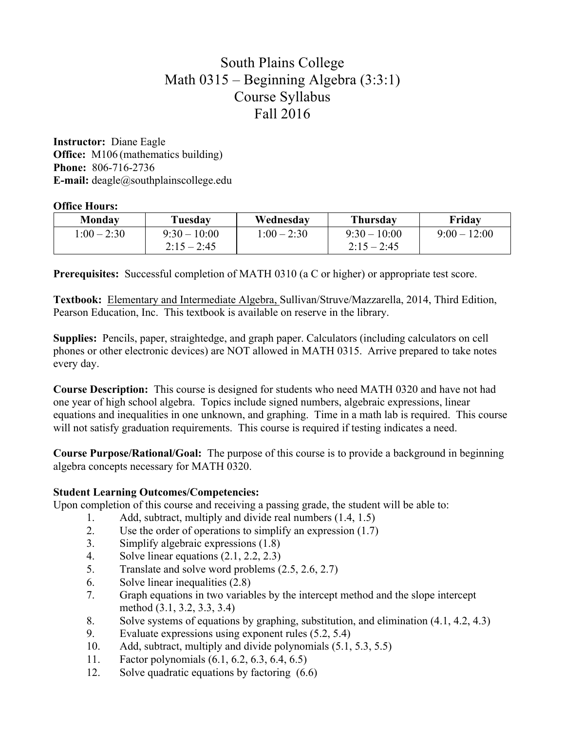# South Plains College Math 0315 – Beginning Algebra (3:3:1) Course Syllabus Fall 2016

**Instructor:** Diane Eagle **Office:** M106 (mathematics building) **Phone:** 806-716-2736 **E-mail:** deagle@southplainscollege.edu

### **Office Hours:**

| <b>Monday</b> | Tuesday        | Wednesdav     | <b>Thursday</b> | Friday         |
|---------------|----------------|---------------|-----------------|----------------|
| $1:00 - 2:30$ | $9:30 - 10:00$ | $1:00 - 2:30$ | $9:30-10:00$    | $9:00 - 12:00$ |
|               | $2:15 - 2:45$  |               | $2:15 - 2:45$   |                |

**Prerequisites:** Successful completion of MATH 0310 (a C or higher) or appropriate test score.

**Textbook:** Elementary and Intermediate Algebra, Sullivan/Struve/Mazzarella, 2014, Third Edition, Pearson Education, Inc. This textbook is available on reserve in the library.

**Supplies:** Pencils, paper, straightedge, and graph paper. Calculators (including calculators on cell phones or other electronic devices) are NOT allowed in MATH 0315. Arrive prepared to take notes every day.

**Course Description:** This course is designed for students who need MATH 0320 and have not had one year of high school algebra. Topics include signed numbers, algebraic expressions, linear equations and inequalities in one unknown, and graphing. Time in a math lab is required. This course will not satisfy graduation requirements. This course is required if testing indicates a need.

**Course Purpose/Rational/Goal:** The purpose of this course is to provide a background in beginning algebra concepts necessary for MATH 0320.

## **Student Learning Outcomes/Competencies:**

Upon completion of this course and receiving a passing grade, the student will be able to:

- 1. Add, subtract, multiply and divide real numbers (1.4, 1.5)
- 2. Use the order of operations to simplify an expression (1.7)
- 3. Simplify algebraic expressions (1.8)
- 4. Solve linear equations (2.1, 2.2, 2.3)
- 5. Translate and solve word problems (2.5, 2.6, 2.7)
- 6. Solve linear inequalities (2.8)
- 7. Graph equations in two variables by the intercept method and the slope intercept method (3.1, 3.2, 3.3, 3.4)
- 8. Solve systems of equations by graphing, substitution, and elimination (4.1, 4.2, 4.3)
- 9. Evaluate expressions using exponent rules (5.2, 5.4)
- 10. Add, subtract, multiply and divide polynomials (5.1, 5.3, 5.5)
- 11. Factor polynomials (6.1, 6.2, 6.3, 6.4, 6.5)
- 12. Solve quadratic equations by factoring (6.6)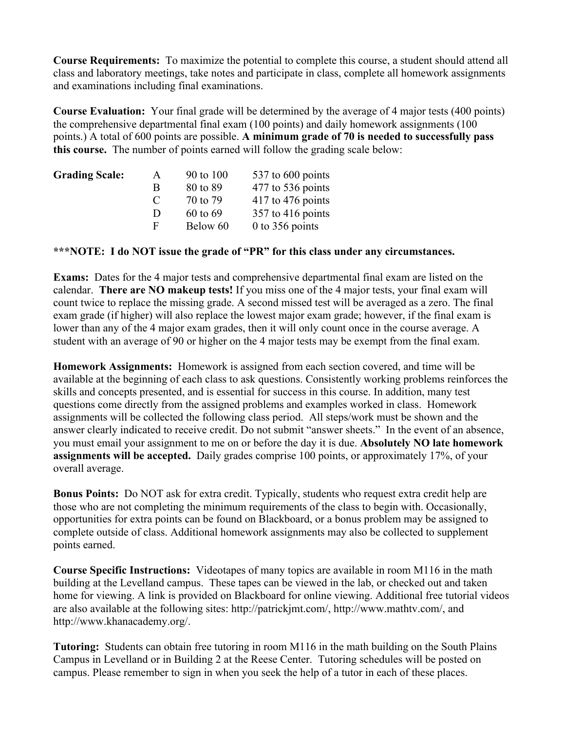**Course Requirements:** To maximize the potential to complete this course, a student should attend all class and laboratory meetings, take notes and participate in class, complete all homework assignments and examinations including final examinations.

**Course Evaluation:** Your final grade will be determined by the average of 4 major tests (400 points) the comprehensive departmental final exam (100 points) and daily homework assignments (100 points.) A total of 600 points are possible. **A minimum grade of 70 is needed to successfully pass this course.** The number of points earned will follow the grading scale below:

| A             | 90 to 100 | 537 to 600 points   |
|---------------|-----------|---------------------|
| B             | 80 to 89  | $477$ to 536 points |
| $\mathcal{C}$ | 70 to 79  | $417$ to 476 points |
| Ð             | 60 to 69  | $357$ to 416 points |
| F             | Below 60  | 0 to 356 points     |
|               |           |                     |

### **\*\*\*NOTE: I do NOT issue the grade of "PR" for this class under any circumstances.**

**Exams:** Dates for the 4 major tests and comprehensive departmental final exam are listed on the calendar. **There are NO makeup tests!** If you miss one of the 4 major tests, your final exam will count twice to replace the missing grade. A second missed test will be averaged as a zero. The final exam grade (if higher) will also replace the lowest major exam grade; however, if the final exam is lower than any of the 4 major exam grades, then it will only count once in the course average. A student with an average of 90 or higher on the 4 major tests may be exempt from the final exam.

**Homework Assignments:** Homework is assigned from each section covered, and time will be available at the beginning of each class to ask questions. Consistently working problems reinforces the skills and concepts presented, and is essential for success in this course. In addition, many test questions come directly from the assigned problems and examples worked in class. Homework assignments will be collected the following class period. All steps/work must be shown and the answer clearly indicated to receive credit. Do not submit "answer sheets." In the event of an absence, you must email your assignment to me on or before the day it is due. **Absolutely NO late homework assignments will be accepted.** Daily grades comprise 100 points, or approximately 17%, of your overall average.

**Bonus Points:** Do NOT ask for extra credit. Typically, students who request extra credit help are those who are not completing the minimum requirements of the class to begin with. Occasionally, opportunities for extra points can be found on Blackboard, or a bonus problem may be assigned to complete outside of class. Additional homework assignments may also be collected to supplement points earned.

**Course Specific Instructions:** Videotapes of many topics are available in room M116 in the math building at the Levelland campus. These tapes can be viewed in the lab, or checked out and taken home for viewing. A link is provided on Blackboard for online viewing. Additional free tutorial videos are also available at the following sites: http://patrickjmt.com/, http://www.mathtv.com/, and http://www.khanacademy.org/.

**Tutoring:** Students can obtain free tutoring in room M116 in the math building on the South Plains Campus in Levelland or in Building 2 at the Reese Center. Tutoring schedules will be posted on campus. Please remember to sign in when you seek the help of a tutor in each of these places.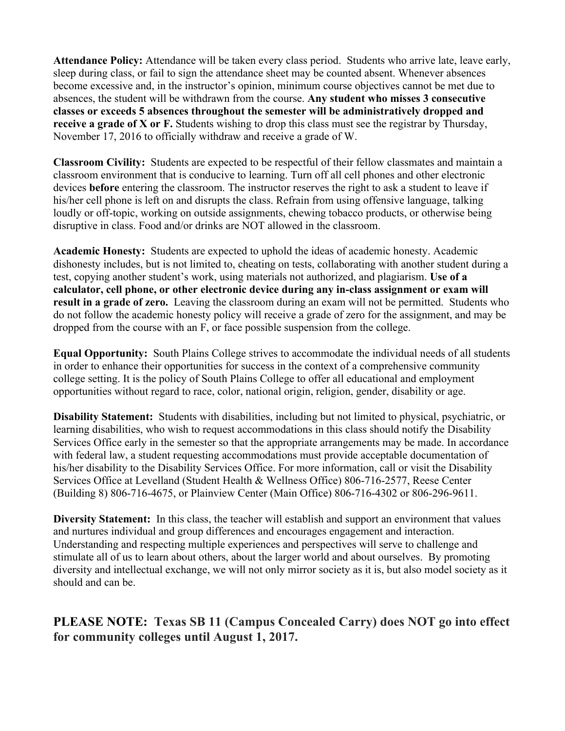**Attendance Policy:** Attendance will be taken every class period. Students who arrive late, leave early, sleep during class, or fail to sign the attendance sheet may be counted absent. Whenever absences become excessive and, in the instructor's opinion, minimum course objectives cannot be met due to absences, the student will be withdrawn from the course. **Any student who misses 3 consecutive classes or exceeds 5 absences throughout the semester will be administratively dropped and receive a grade of X or F.** Students wishing to drop this class must see the registrar by Thursday, November 17, 2016 to officially withdraw and receive a grade of W.

**Classroom Civility:** Students are expected to be respectful of their fellow classmates and maintain a classroom environment that is conducive to learning. Turn off all cell phones and other electronic devices **before** entering the classroom. The instructor reserves the right to ask a student to leave if his/her cell phone is left on and disrupts the class. Refrain from using offensive language, talking loudly or off-topic, working on outside assignments, chewing tobacco products, or otherwise being disruptive in class. Food and/or drinks are NOT allowed in the classroom.

**Academic Honesty:** Students are expected to uphold the ideas of academic honesty. Academic dishonesty includes, but is not limited to, cheating on tests, collaborating with another student during a test, copying another student's work, using materials not authorized, and plagiarism. **Use of a calculator, cell phone, or other electronic device during any in-class assignment or exam will result in a grade of zero.** Leaving the classroom during an exam will not be permitted. Students who do not follow the academic honesty policy will receive a grade of zero for the assignment, and may be dropped from the course with an F, or face possible suspension from the college.

**Equal Opportunity:** South Plains College strives to accommodate the individual needs of all students in order to enhance their opportunities for success in the context of a comprehensive community college setting. It is the policy of South Plains College to offer all educational and employment opportunities without regard to race, color, national origin, religion, gender, disability or age.

**Disability Statement:** Students with disabilities, including but not limited to physical, psychiatric, or learning disabilities, who wish to request accommodations in this class should notify the Disability Services Office early in the semester so that the appropriate arrangements may be made. In accordance with federal law, a student requesting accommodations must provide acceptable documentation of his/her disability to the Disability Services Office. For more information, call or visit the Disability Services Office at Levelland (Student Health & Wellness Office) 806-716-2577, Reese Center (Building 8) 806-716-4675, or Plainview Center (Main Office) 806-716-4302 or 806-296-9611.

**Diversity Statement:** In this class, the teacher will establish and support an environment that values and nurtures individual and group differences and encourages engagement and interaction. Understanding and respecting multiple experiences and perspectives will serve to challenge and stimulate all of us to learn about others, about the larger world and about ourselves. By promoting diversity and intellectual exchange, we will not only mirror society as it is, but also model society as it should and can be.

**PLEASE NOTE: Texas SB 11 (Campus Concealed Carry) does NOT go into effect for community colleges until August 1, 2017.**